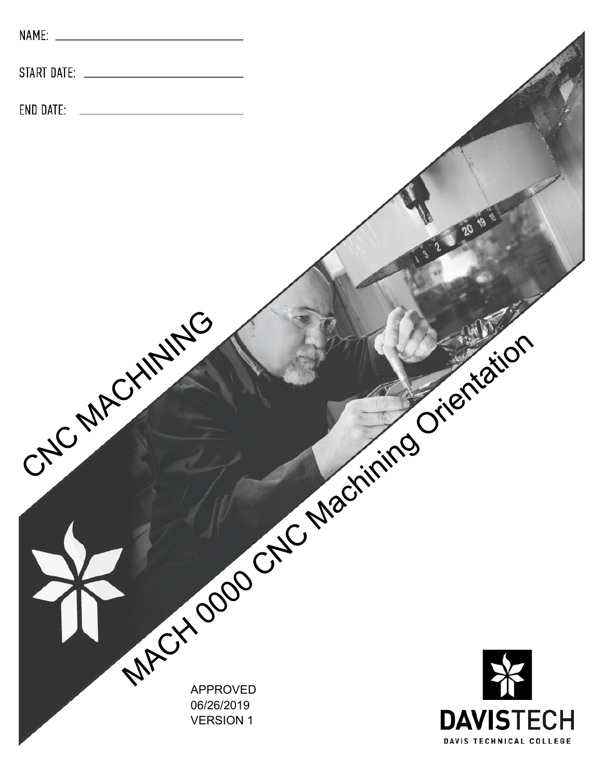| NAME:        |                                |                                     |
|--------------|--------------------------------|-------------------------------------|
| START DATE:  |                                |                                     |
| END DATE:    |                                |                                     |
|              |                                |                                     |
|              |                                |                                     |
|              |                                | 20 18                               |
|              |                                |                                     |
|              |                                |                                     |
|              |                                |                                     |
|              |                                |                                     |
|              |                                |                                     |
|              |                                |                                     |
| CNC MACHINES |                                |                                     |
|              |                                |                                     |
|              |                                |                                     |
|              |                                |                                     |
|              |                                |                                     |
|              |                                |                                     |
|              |                                | MACY 0000 CNC Machining Orientation |
|              | 06/26/2019<br><b>VERSION 1</b> | <b>DAVISTECH</b>                    |
|              |                                | DAVIS TECHNICAL COLLEGE             |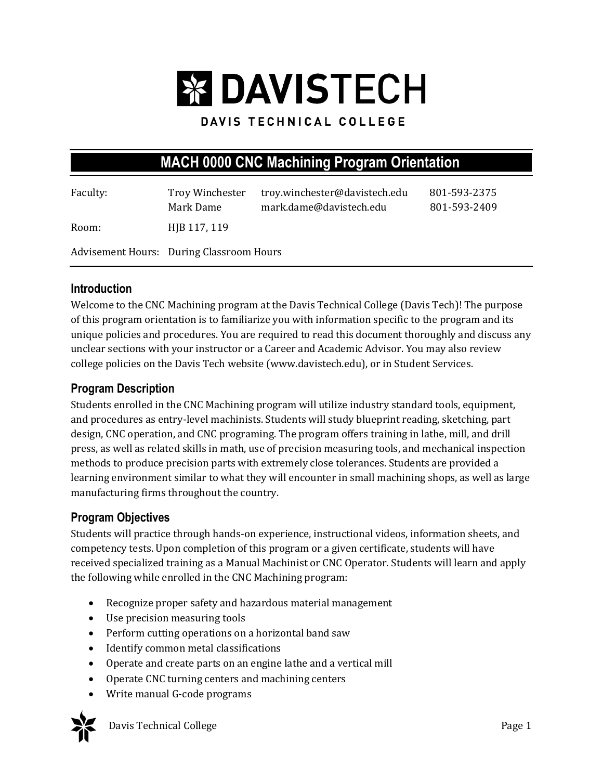# **EX DAVISTECH**

# DAVIS TECHNICAL COLLEGE

# **MACH 0000 CNC Machining Program Orientation**

| Faculty:                                 | Troy Winchester<br>Mark Dame | troy.winchester@davistech.edu<br>mark.dame@davistech.edu | 801-593-2375<br>801-593-2409 |
|------------------------------------------|------------------------------|----------------------------------------------------------|------------------------------|
| Room:                                    | HJB 117, 119                 |                                                          |                              |
| Advisement Hours: During Classroom Hours |                              |                                                          |                              |

#### **Introduction**

Welcome to the CNC Machining program at the Davis Technical College (Davis Tech)! The purpose of this program orientation is to familiarize you with information specific to the program and its unique policies and procedures. You are required to read this document thoroughly and discuss any unclear sections with your instructor or a Career and Academic Advisor. You may also review college policies on the Davis Tech website (www.davistech.edu), or in Student Services.

# **Program Description**

Students enrolled in the CNC Machining program will utilize industry standard tools, equipment, and procedures as entry-level machinists. Students will study blueprint reading, sketching, part design, CNC operation, and CNC programing. The program offers training in lathe, mill, and drill press, as well as related skills in math, use of precision measuring tools, and mechanical inspection methods to produce precision parts with extremely close tolerances. Students are provided a learning environment similar to what they will encounter in small machining shops, as well as large manufacturing firms throughout the country.

#### **Program Objectives**

Students will practice through hands-on experience, instructional videos, information sheets, and competency tests. Upon completion of this program or a given certificate, students will have received specialized training as a Manual Machinist or CNC Operator. Students will learn and apply the following while enrolled in the CNC Machining program:

- Recognize proper safety and hazardous material management
- Use precision measuring tools
- Perform cutting operations on a horizontal band saw
- Identify common metal classifications
- Operate and create parts on an engine lathe and a vertical mill
- Operate CNC turning centers and machining centers
- Write manual G-code programs



Davis Technical College **Page 1**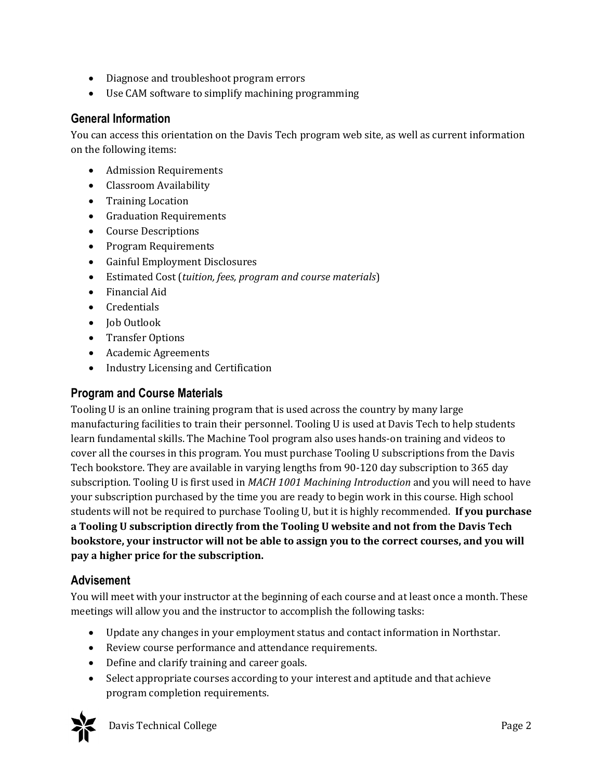- Diagnose and troubleshoot program errors
- Use CAM software to simplify machining programming

# **General Information**

You can access this orientation on the Davis Tech program web site, as well as current information on the following items:

- Admission Requirements
- Classroom Availability
- Training Location
- Graduation Requirements
- Course Descriptions
- Program Requirements
- Gainful Employment Disclosures
- Estimated Cost (*tuition, fees, program and course materials*)
- Financial Aid
- Credentials
- Job Outlook
- Transfer Options
- Academic Agreements
- Industry Licensing and Certification

#### **Program and Course Materials**

Tooling U is an online training program that is used across the country by many large manufacturing facilities to train their personnel. Tooling U is used at Davis Tech to help students learn fundamental skills. The Machine Tool program also uses hands-on training and videos to cover all the courses in this program. You must purchase Tooling U subscriptions from the Davis Tech bookstore. They are available in varying lengths from 90-120 day subscription to 365 day subscription. Tooling U is first used in *MACH 1001 Machining Introduction* and you will need to have your subscription purchased by the time you are ready to begin work in this course. High school students will not be required to purchase Tooling U, but it is highly recommended. **If you purchase a Tooling U subscription directly from the Tooling U website and not from the Davis Tech bookstore, your instructor will not be able to assign you to the correct courses, and you will pay a higher price for the subscription.** 

#### **Advisement**

You will meet with your instructor at the beginning of each course and at least once a month. These meetings will allow you and the instructor to accomplish the following tasks:

- Update any changes in your employment status and contact information in Northstar.
- Review course performance and attendance requirements.
- Define and clarify training and career goals.
- Select appropriate courses according to your interest and aptitude and that achieve program completion requirements.



Davis Technical College **Page 2**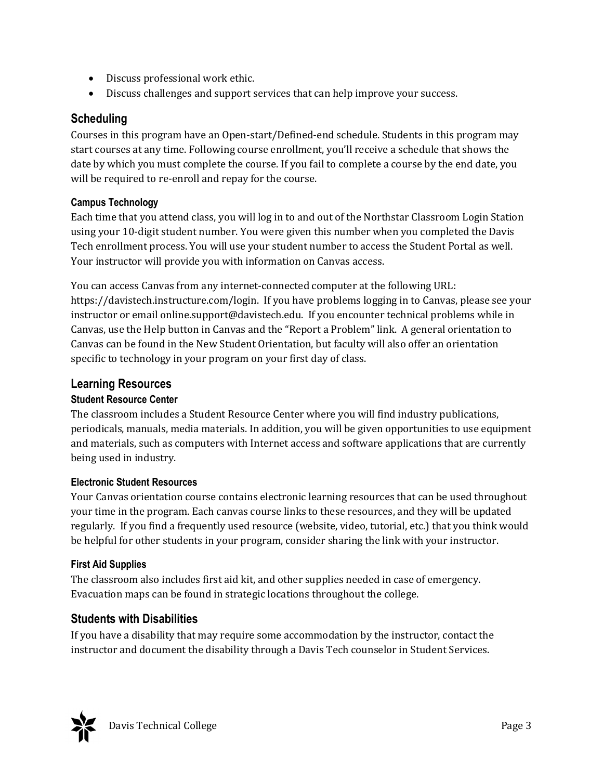- Discuss professional work ethic.
- Discuss challenges and support services that can help improve your success.

# **Scheduling**

Courses in this program have an Open-start/Defined-end schedule. Students in this program may start courses at any time. Following course enrollment, you'll receive a schedule that shows the date by which you must complete the course. If you fail to complete a course by the end date, you will be required to re-enroll and repay for the course.

#### **Campus Technology**

Each time that you attend class, you will log in to and out of the Northstar Classroom Login Station using your 10-digit student number. You were given this number when you completed the Davis Tech enrollment process. You will use your student number to access the Student Portal as well. Your instructor will provide you with information on Canvas access.

You can access Canvas from any internet-connected computer at the following URL: https://davistech.instructure.com/login. If you have problems logging in to Canvas, please see your instructor or email online.support@davistech.edu. If you encounter technical problems while in Canvas, use the Help button in Canvas and the "Report a Problem" link. A general orientation to Canvas can be found in the New Student Orientation, but faculty will also offer an orientation specific to technology in your program on your first day of class.

# **Learning Resources**

#### **Student Resource Center**

The classroom includes a Student Resource Center where you will find industry publications, periodicals, manuals, media materials. In addition, you will be given opportunities to use equipment and materials, such as computers with Internet access and software applications that are currently being used in industry.

#### **Electronic Student Resources**

Your Canvas orientation course contains electronic learning resources that can be used throughout your time in the program. Each canvas course links to these resources, and they will be updated regularly. If you find a frequently used resource (website, video, tutorial, etc.) that you think would be helpful for other students in your program, consider sharing the link with your instructor.

#### **First Aid Supplies**

The classroom also includes first aid kit, and other supplies needed in case of emergency. Evacuation maps can be found in strategic locations throughout the college.

# **Students with Disabilities**

If you have a disability that may require some accommodation by the instructor, contact the instructor and document the disability through a Davis Tech counselor in Student Services.

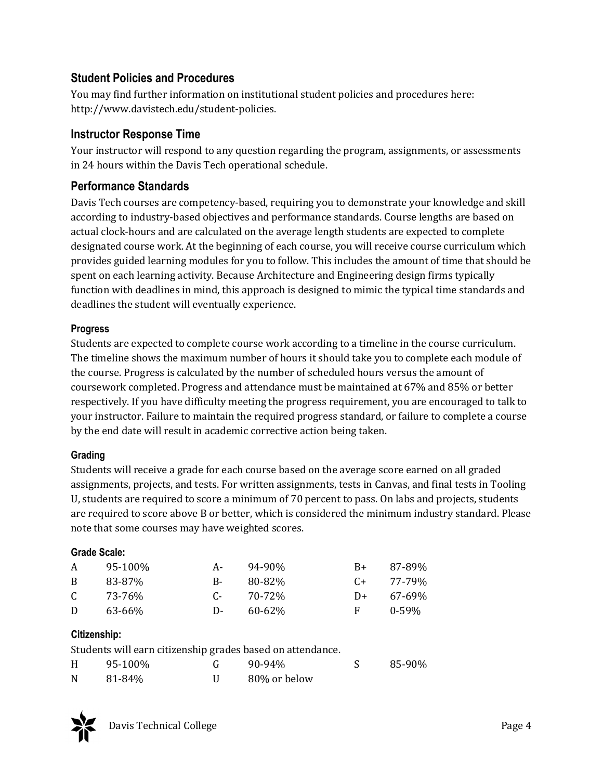# **Student Policies and Procedures**

You may find further information on institutional student policies and procedures here: http://www.davistech.edu/student-policies.

# **Instructor Response Time**

Your instructor will respond to any question regarding the program, assignments, or assessments in 24 hours within the Davis Tech operational schedule.

# **Performance Standards**

Davis Tech courses are competency-based, requiring you to demonstrate your knowledge and skill according to industry-based objectives and performance standards. Course lengths are based on actual clock-hours and are calculated on the average length students are expected to complete designated course work. At the beginning of each course, you will receive course curriculum which provides guided learning modules for you to follow. This includes the amount of time that should be spent on each learning activity. Because Architecture and Engineering design firms typically function with deadlines in mind, this approach is designed to mimic the typical time standards and deadlines the student will eventually experience.

#### **Progress**

Students are expected to complete course work according to a timeline in the course curriculum. The timeline shows the maximum number of hours it should take you to complete each module of the course. Progress is calculated by the number of scheduled hours versus the amount of coursework completed. Progress and attendance must be maintained at 67% and 85% or better respectively. If you have difficulty meeting the progress requirement, you are encouraged to talk to your instructor. Failure to maintain the required progress standard, or failure to complete a course by the end date will result in academic corrective action being taken.

#### **Grading**

Students will receive a grade for each course based on the average score earned on all graded assignments, projects, and tests. For written assignments, tests in Canvas, and final tests in Tooling U, students are required to score a minimum of 70 percent to pass. On labs and projects, students are required to score above B or better, which is considered the minimum industry standard. Please note that some courses may have weighted scores.

#### **Grade Scale:**

| A            | 95-100% | A-           | 94-90%      | B+   | 87-89%      |
|--------------|---------|--------------|-------------|------|-------------|
| <sub>B</sub> | 83-87%  | $R_{\rm{f}}$ | 80-82%      | $C+$ | 77-79%      |
| C.           | 73-76%  | $C_{\pi}$    | 70-72%      | D+   | $67 - 69\%$ |
| D            | 63-66%  | $\mathbf{D}$ | $60 - 62\%$ | F.   | $0 - 59\%$  |

#### **Citizenship:**

|   | Students will earn citizenship grades based on attendance. |        |        |
|---|------------------------------------------------------------|--------|--------|
| H | 95-100%                                                    | 90-94% | 85-90% |



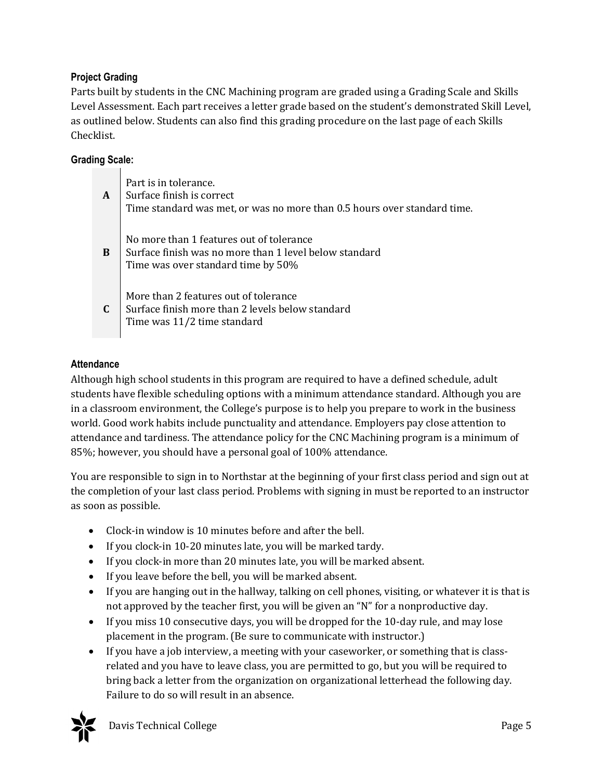#### **Project Grading**

Parts built by students in the CNC Machining program are graded using a Grading Scale and Skills Level Assessment. Each part receives a letter grade based on the student's demonstrated Skill Level, as outlined below. Students can also find this grading procedure on the last page of each Skills Checklist.

#### **Grading Scale:**

| A            | Part is in tolerance.<br>Surface finish is correct<br>Time standard was met, or was no more than 0.5 hours over standard time.           |
|--------------|------------------------------------------------------------------------------------------------------------------------------------------|
| <sub>B</sub> | No more than 1 features out of tolerance<br>Surface finish was no more than 1 level below standard<br>Time was over standard time by 50% |
| $\mathbf{C}$ | More than 2 features out of tolerance<br>Surface finish more than 2 levels below standard<br>Time was 11/2 time standard                 |

#### **Attendance**

Although high school students in this program are required to have a defined schedule, adult students have flexible scheduling options with a minimum attendance standard. Although you are in a classroom environment, the College's purpose is to help you prepare to work in the business world. Good work habits include punctuality and attendance. Employers pay close attention to attendance and tardiness. The attendance policy for the CNC Machining program is a minimum of 85%; however, you should have a personal goal of 100% attendance.

You are responsible to sign in to Northstar at the beginning of your first class period and sign out at the completion of your last class period. Problems with signing in must be reported to an instructor as soon as possible.

- Clock-in window is 10 minutes before and after the bell.
- If you clock-in 10-20 minutes late, you will be marked tardy.
- If you clock-in more than 20 minutes late, you will be marked absent.
- If you leave before the bell, you will be marked absent.
- If you are hanging out in the hallway, talking on cell phones, visiting, or whatever it is that is not approved by the teacher first, you will be given an "N" for a nonproductive day.
- If you miss 10 consecutive days, you will be dropped for the 10-day rule, and may lose placement in the program. (Be sure to communicate with instructor.)
- If you have a job interview, a meeting with your caseworker, or something that is classrelated and you have to leave class, you are permitted to go, but you will be required to bring back a letter from the organization on organizational letterhead the following day. Failure to do so will result in an absence.

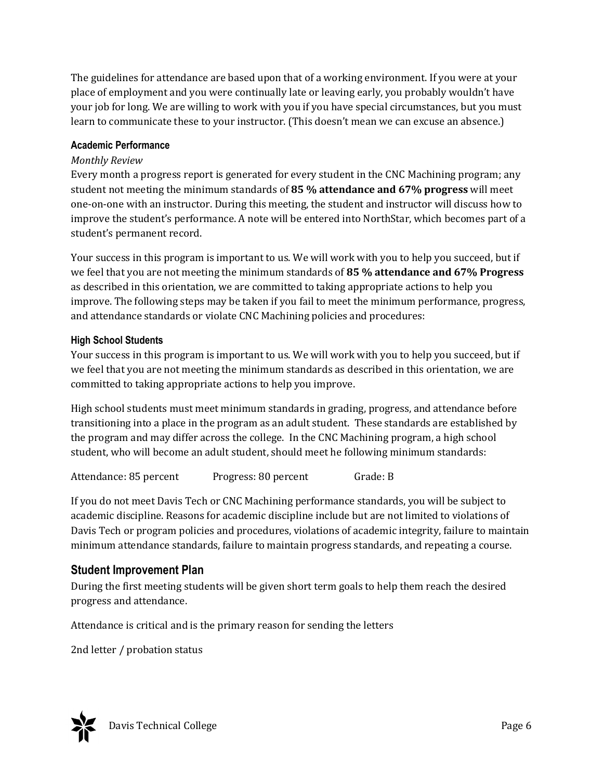The guidelines for attendance are based upon that of a working environment. If you were at your place of employment and you were continually late or leaving early, you probably wouldn't have your job for long. We are willing to work with you if you have special circumstances, but you must learn to communicate these to your instructor. (This doesn't mean we can excuse an absence.)

#### **Academic Performance**

#### *Monthly Review*

Every month a progress report is generated for every student in the CNC Machining program; any student not meeting the minimum standards of **85 % attendance and 67% progress** will meet one-on-one with an instructor. During this meeting, the student and instructor will discuss how to improve the student's performance. A note will be entered into NorthStar, which becomes part of a student's permanent record.

Your success in this program is important to us. We will work with you to help you succeed, but if we feel that you are not meeting the minimum standards of **85 % attendance and 67% Progress** as described in this orientation, we are committed to taking appropriate actions to help you improve. The following steps may be taken if you fail to meet the minimum performance, progress, and attendance standards or violate CNC Machining policies and procedures:

#### **High School Students**

Your success in this program is important to us. We will work with you to help you succeed, but if we feel that you are not meeting the minimum standards as described in this orientation, we are committed to taking appropriate actions to help you improve.

High school students must meet minimum standards in grading, progress, and attendance before transitioning into a place in the program as an adult student. These standards are established by the program and may differ across the college. In the CNC Machining program, a high school student, who will become an adult student, should meet he following minimum standards:

If you do not meet Davis Tech or CNC Machining performance standards, you will be subject to academic discipline. Reasons for academic discipline include but are not limited to violations of Davis Tech or program policies and procedures, violations of academic integrity, failure to maintain minimum attendance standards, failure to maintain progress standards, and repeating a course.

#### **Student Improvement Plan**

During the first meeting students will be given short term goals to help them reach the desired progress and attendance.

Attendance is critical and is the primary reason for sending the letters

2nd letter / probation status

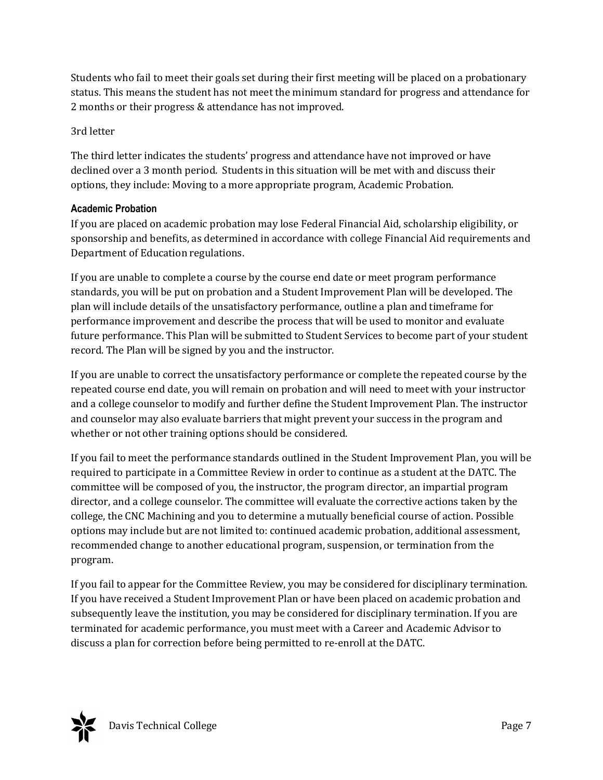Students who fail to meet their goals set during their first meeting will be placed on a probationary status. This means the student has not meet the minimum standard for progress and attendance for 2 months or their progress & attendance has not improved.

#### 3rd letter

The third letter indicates the students' progress and attendance have not improved or have declined over a 3 month period. Students in this situation will be met with and discuss their options, they include: Moving to a more appropriate program, Academic Probation.

#### **Academic Probation**

If you are placed on academic probation may lose Federal Financial Aid, scholarship eligibility, or sponsorship and benefits, as determined in accordance with college Financial Aid requirements and Department of Education regulations.

If you are unable to complete a course by the course end date or meet program performance standards, you will be put on probation and a Student Improvement Plan will be developed. The plan will include details of the unsatisfactory performance, outline a plan and timeframe for performance improvement and describe the process that will be used to monitor and evaluate future performance. This Plan will be submitted to Student Services to become part of your student record. The Plan will be signed by you and the instructor.

If you are unable to correct the unsatisfactory performance or complete the repeated course by the repeated course end date, you will remain on probation and will need to meet with your instructor and a college counselor to modify and further define the Student Improvement Plan. The instructor and counselor may also evaluate barriers that might prevent your success in the program and whether or not other training options should be considered.

If you fail to meet the performance standards outlined in the Student Improvement Plan, you will be required to participate in a Committee Review in order to continue as a student at the DATC. The committee will be composed of you, the instructor, the program director, an impartial program director, and a college counselor. The committee will evaluate the corrective actions taken by the college, the CNC Machining and you to determine a mutually beneficial course of action. Possible options may include but are not limited to: continued academic probation, additional assessment, recommended change to another educational program, suspension, or termination from the program.

If you fail to appear for the Committee Review, you may be considered for disciplinary termination. If you have received a Student Improvement Plan or have been placed on academic probation and subsequently leave the institution, you may be considered for disciplinary termination. If you are terminated for academic performance, you must meet with a Career and Academic Advisor to discuss a plan for correction before being permitted to re-enroll at the DATC.

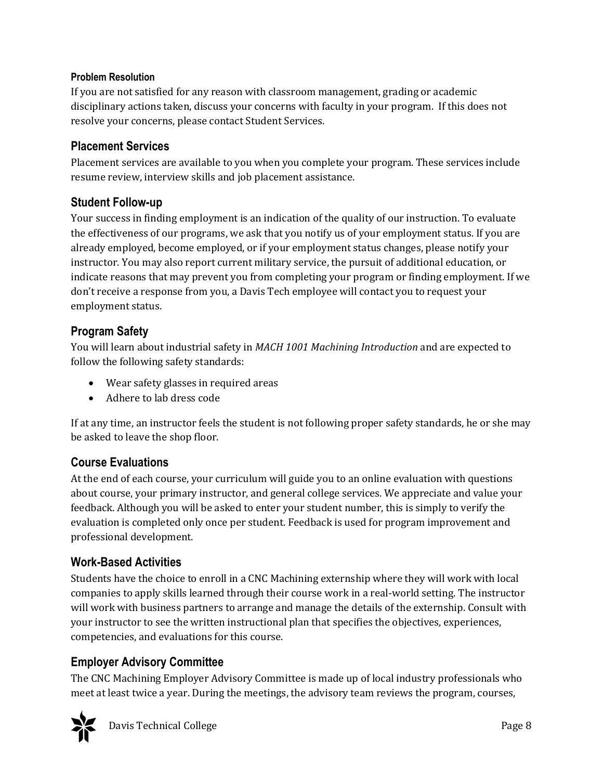#### **Problem Resolution**

If you are not satisfied for any reason with classroom management, grading or academic disciplinary actions taken, discuss your concerns with faculty in your program. If this does not resolve your concerns, please contact Student Services.

#### **Placement Services**

Placement services are available to you when you complete your program. These services include resume review, interview skills and job placement assistance.

# **Student Follow-up**

Your success in finding employment is an indication of the quality of our instruction. To evaluate the effectiveness of our programs, we ask that you notify us of your employment status. If you are already employed, become employed, or if your employment status changes, please notify your instructor. You may also report current military service, the pursuit of additional education, or indicate reasons that may prevent you from completing your program or finding employment. If we don't receive a response from you, a Davis Tech employee will contact you to request your employment status.

# **Program Safety**

You will learn about industrial safety in *MACH 1001 Machining Introduction* and are expected to follow the following safety standards:

- Wear safety glasses in required areas
- Adhere to lab dress code

If at any time, an instructor feels the student is not following proper safety standards, he or she may be asked to leave the shop floor.

# **Course Evaluations**

At the end of each course, your curriculum will guide you to an online evaluation with questions about course, your primary instructor, and general college services. We appreciate and value your feedback. Although you will be asked to enter your student number, this is simply to verify the evaluation is completed only once per student. Feedback is used for program improvement and professional development.

# **Work-Based Activities**

Students have the choice to enroll in a CNC Machining externship where they will work with local companies to apply skills learned through their course work in a real-world setting. The instructor will work with business partners to arrange and manage the details of the externship. Consult with your instructor to see the written instructional plan that specifies the objectives, experiences, competencies, and evaluations for this course.

# **Employer Advisory Committee**

The CNC Machining Employer Advisory Committee is made up of local industry professionals who meet at least twice a year. During the meetings, the advisory team reviews the program, courses,